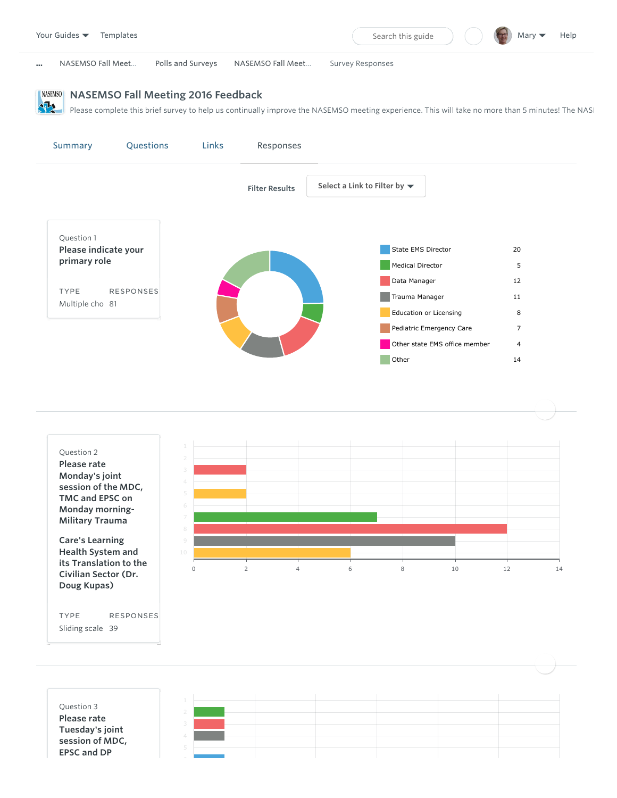





TYPE Sliding scale 39 RESPONSES

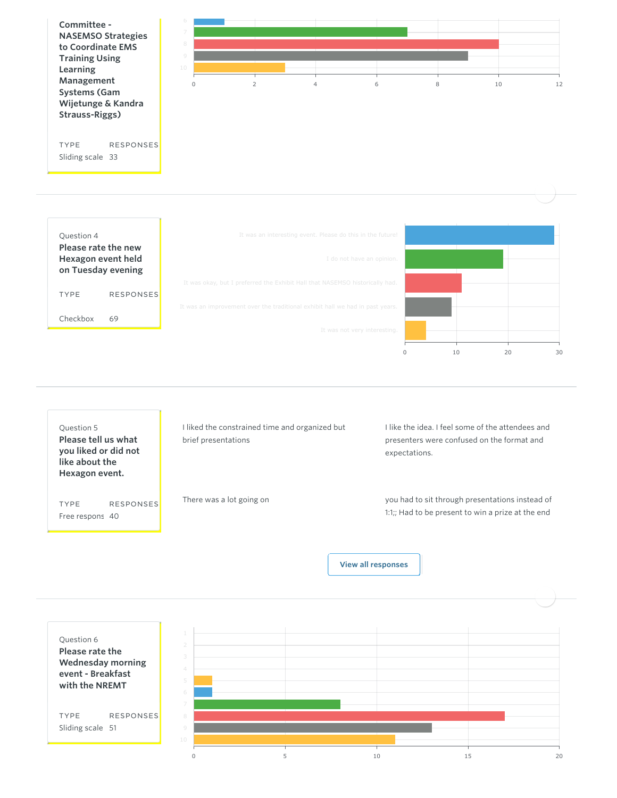

TYPE Checkbox RESPONSES 69





[View all responses](https://builder.guidebook.com/#)

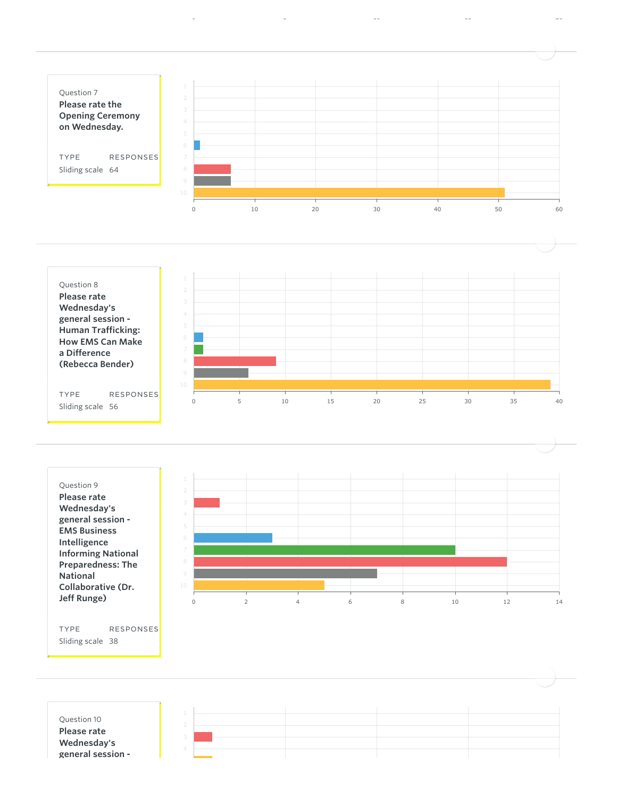





| Question 10<br>Please rate<br>Wednesday's<br>general session - |  |  |  |
|----------------------------------------------------------------|--|--|--|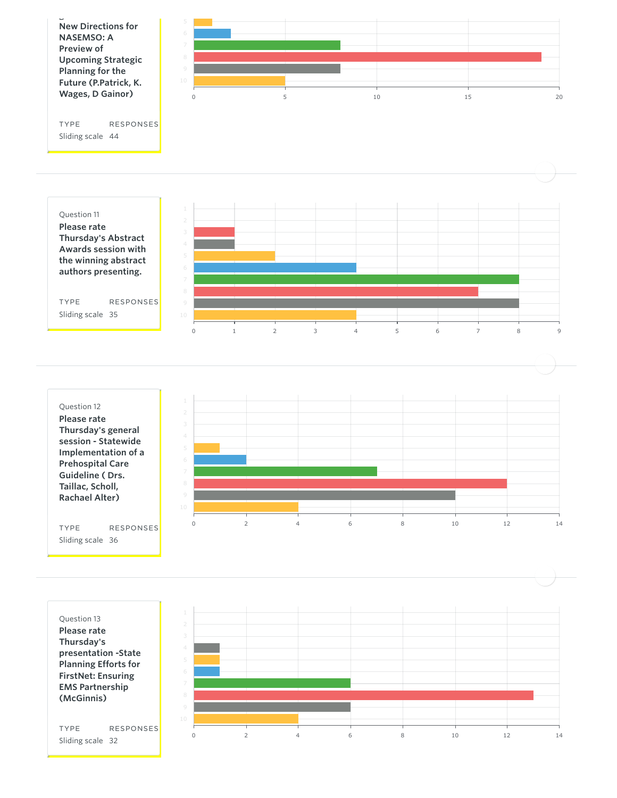